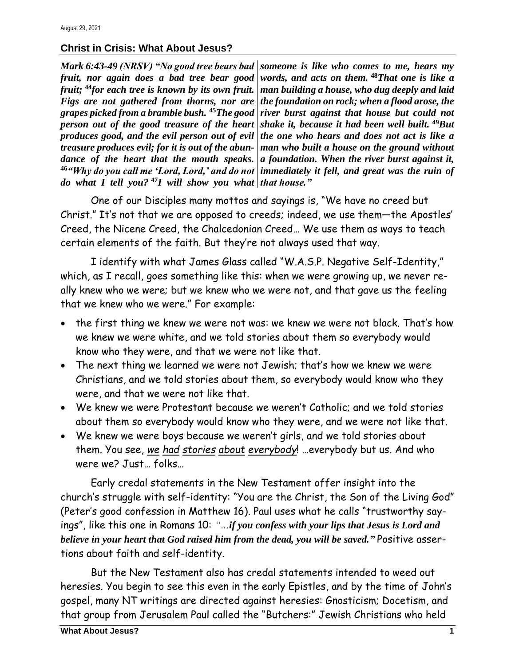## **Christ in Crisis: What About Jesus?**

*Mark 6:43-49 (NRSV) "No good tree bears bad someone is like who comes to me, hears my fruit, nor again does a bad tree bear good words, and acts on them.* **<sup>48</sup>***That one is like a fruit;* **<sup>44</sup>***for each tree is known by its own fruit. Figs are not gathered from thorns, nor are grapes picked from a bramble bush.* **<sup>45</sup>***The good person out of the good treasure of the heart produces good, and the evil person out of evil treasure produces evil; for it is out of the abun*dance of the heart that the mouth speaks. a foundation. When the river burst against it, **<sup>46</sup>***"Why do you call me 'Lord, Lord,' and do not immediately it fell, and great was the ruin of do what I tell you?* **<sup>47</sup>** *I will show you what that house."* 

*man building a house, who dug deeply and laid the foundation on rock; when a flood arose, the river burst against that house but could not shake it, because it had been well built.* **<sup>49</sup>***But the one who hears and does not act is like a man who built a house on the ground without* 

One of our Disciples many mottos and sayings is, "We have no creed but Christ." It's not that we are opposed to creeds; indeed, we use them—the Apostles' Creed, the Nicene Creed, the Chalcedonian Creed… We use them as ways to teach certain elements of the faith. But they're not always used that way.

I identify with what James Glass called "W.A.S.P. Negative Self-Identity," which, as I recall, goes something like this: when we were growing up, we never really knew who we were; but we knew who we were not, and that gave us the feeling that we knew who we were." For example:

- the first thing we knew we were not was: we knew we were not black. That's how we knew we were white, and we told stories about them so everybody would know who they were, and that we were not like that.
- The next thing we learned we were not Jewish; that's how we knew we were Christians, and we told stories about them, so everybody would know who they were, and that we were not like that.
- We knew we were Protestant because we weren't Catholic; and we told stories about them so everybody would know who they were, and we were not like that.
- We knew we were boys because we weren't girls, and we told stories about them. You see, *we had stories about everybody*! …everybody but us. And who were we? Just… folks…

Early credal statements in the New Testament offer insight into the church's struggle with self-identity: "You are the Christ, the Son of the Living God" (Peter's good confession in Matthew 16). Paul uses what he calls "trustworthy sayings", like this one in Romans 10: *"…if you confess with your lips that Jesus is Lord and believe in your heart that God raised him from the dead, you will be saved."* Positive assertions about faith and self-identity.

But the New Testament also has credal statements intended to weed out heresies. You begin to see this even in the early Epistles, and by the time of John's gospel, many NT writings are directed against heresies: Gnosticism; Docetism, and that group from Jerusalem Paul called the "Butchers:" Jewish Christians who held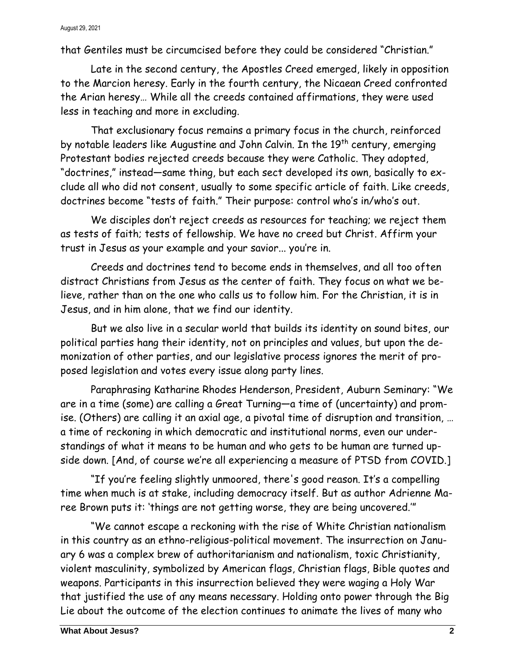## August 29, 2021

that Gentiles must be circumcised before they could be considered "Christian."

Late in the second century, the Apostles Creed emerged, likely in opposition to the Marcion heresy. Early in the fourth century, the Nicaean Creed confronted the Arian heresy… While all the creeds contained affirmations, they were used less in teaching and more in excluding.

That exclusionary focus remains a primary focus in the church, reinforced by notable leaders like Augustine and John Calvin. In the 19<sup>th</sup> century, emerging Protestant bodies rejected creeds because they were Catholic. They adopted, "doctrines," instead—same thing, but each sect developed its own, basically to exclude all who did not consent, usually to some specific article of faith. Like creeds, doctrines become "tests of faith." Their purpose: control who's in/who's out.

We disciples don't reject creeds as resources for teaching; we reject them as tests of faith; tests of fellowship. We have no creed but Christ. Affirm your trust in Jesus as your example and your savior... you're in.

Creeds and doctrines tend to become ends in themselves, and all too often distract Christians from Jesus as the center of faith. They focus on what we believe, rather than on the one who calls us to follow him. For the Christian, it is in Jesus, and in him alone, that we find our identity.

But we also live in a secular world that builds its identity on sound bites, our political parties hang their identity, not on principles and values, but upon the demonization of other parties, and our legislative process ignores the merit of proposed legislation and votes every issue along party lines.

Paraphrasing Katharine Rhodes Henderson, President, Auburn Seminary: "We are in a time (some) are calling a Great Turning—a time of (uncertainty) and promise. (Others) are calling it an axial age, a pivotal time of disruption and transition, … a time of reckoning in which democratic and institutional norms, even our understandings of what it means to be human and who gets to be human are turned upside down. [And, of course we're all experiencing a measure of PTSD from COVID.]

"If you're feeling slightly unmoored, there's good reason. It's a compelling time when much is at stake, including democracy itself. But as author Adrienne Maree Brown puts it: 'things are not getting worse, they are being uncovered.'"

"We cannot escape a reckoning with the rise of White Christian nationalism in this country as an ethno-religious-political movement. The insurrection on January 6 was a complex brew of authoritarianism and nationalism, toxic Christianity, violent masculinity, symbolized by American flags, Christian flags, Bible quotes and weapons. Participants in this insurrection believed they were waging a Holy War that justified the use of any means necessary. Holding onto power through the Big Lie about the outcome of the election continues to animate the lives of many who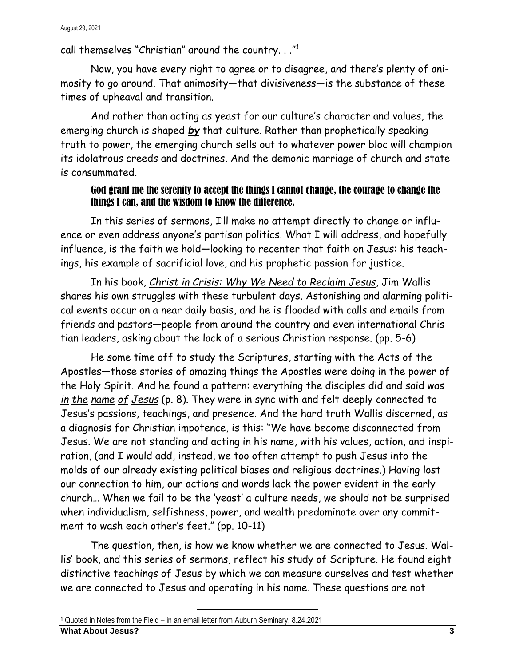August 29, 2021

call themselves "Christian" around the country. . ." $^{\rm 1}$ 

Now, you have every right to agree or to disagree, and there's plenty of animosity to go around. That animosity—that divisiveness—is the substance of these times of upheaval and transition.

And rather than acting as yeast for our culture's character and values, the emerging church is shaped *by* that culture. Rather than prophetically speaking truth to power, the emerging church sells out to whatever power bloc will champion its idolatrous creeds and doctrines. And the demonic marriage of church and state is consummated.

## God grant me the serenity to accept the things I cannot change, the courage to change the things I can, and the wisdom to know the difference.

In this series of sermons, I'll make no attempt directly to change or influence or even address anyone's partisan politics. What I will address, and hopefully influence, is the faith we hold—looking to recenter that faith on Jesus: his teachings, his example of sacrificial love, and his prophetic passion for justice.

In his book, *Christ in Crisis: Why We Need to Reclaim Jesus*, Jim Wallis shares his own struggles with these turbulent days. Astonishing and alarming political events occur on a near daily basis, and he is flooded with calls and emails from friends and pastors—people from around the country and even international Christian leaders, asking about the lack of a serious Christian response. (pp. 5-6)

He some time off to study the Scriptures, starting with the Acts of the Apostles—those stories of amazing things the Apostles were doing in the power of the Holy Spirit. And he found a pattern: everything the disciples did and said was *in the name of Jesus* (p. 8). They were in sync with and felt deeply connected to Jesus's passions, teachings, and presence. And the hard truth Wallis discerned, as a diagnosis for Christian impotence, is this: "We have become disconnected from Jesus. We are not standing and acting in his name, with his values, action, and inspiration, (and I would add, instead, we too often attempt to push Jesus into the molds of our already existing political biases and religious doctrines.) Having lost our connection to him, our actions and words lack the power evident in the early church… When we fail to be the 'yeast' a culture needs, we should not be surprised when individualism, selfishness, power, and wealth predominate over any commitment to wash each other's feet." (pp. 10-11)

The question, then, is how we know whether we are connected to Jesus. Wallis' book, and this series of sermons, reflect his study of Scripture. He found eight distinctive teachings of Jesus by which we can measure ourselves and test whether we are connected to Jesus and operating in his name. These questions are not